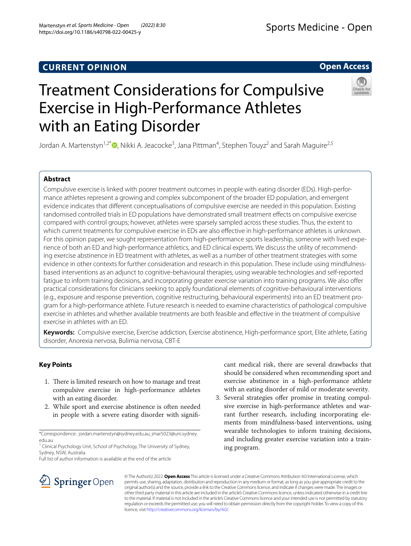# **Open Access**



# Treatment Considerations for Compulsive Exercise in High-Performance Athletes with an Eating Disorder

Jordan A. Martenstyn<sup>1[,](http://orcid.org/0000-0001-9235-6546)2\*</sup>®, Nikki A. Jeacocke<sup>3</sup>, Jana Pittman<sup>4</sup>, Stephen Touyz<sup>2</sup> and Sarah Maguire<sup>2,5</sup>

# **Abstract**

Compulsive exercise is linked with poorer treatment outcomes in people with eating disorder (EDs). High-performance athletes represent a growing and complex subcomponent of the broader ED population, and emergent evidence indicates that diferent conceptualisations of compulsive exercise are needed in this population. Existing randomised controlled trials in ED populations have demonstrated small treatment efects on compulsive exercise compared with control groups; however, athletes were sparsely sampled across these studies. Thus, the extent to which current treatments for compulsive exercise in EDs are also efective in high-performance athletes is unknown. For this opinion paper, we sought representation from high-performance sports leadership, someone with lived experience of both an ED and high-performance athletics, and ED clinical experts. We discuss the utility of recommending exercise abstinence in ED treatment with athletes, as well as a number of other treatment strategies with some evidence in other contexts for further consideration and research in this population. These include using mindfulnessbased interventions as an adjunct to cognitive-behavioural therapies, using wearable technologies and self-reported fatigue to inform training decisions, and incorporating greater exercise variation into training programs. We also offer practical considerations for clinicians seeking to apply foundational elements of cognitive-behavioural interventions (e.g., exposure and response prevention, cognitive restructuring, behavioural experiments) into an ED treatment program for a high-performance athlete. Future research is needed to examine characteristics of pathological compulsive exercise in athletes and whether available treatments are both feasible and efective in the treatment of compulsive exercise in athletes with an ED.

**Keywords:** Compulsive exercise, Exercise addiction, Exercise abstinence, High-performance sport, Elite athlete, Eating disorder, Anorexia nervosa, Bulimia nervosa, CBT-E

# **Key Points**

- 1. There is limited research on how to manage and treat compulsive exercise in high-performance athletes with an eating disorder.
- 2. While sport and exercise abstinence is often needed in people with a severe eating disorder with signif-

cant medical risk, there are several drawbacks that should be considered when recommending sport and exercise abstinence in a high-performance athlete with an eating disorder of mild or moderate severity.

3. Several strategies offer promise in treating compulsive exercise in high-performance athletes and warrant further research, including incorporating elements from mindfulness-based interventions, using wearable technologies to inform training decisions, and including greater exercise variation into a training program.



© The Author(s) 2022. **Open Access** This article is licensed under a Creative Commons Attribution 4.0 International License, which permits use, sharing, adaptation, distribution and reproduction in any medium or format, as long as you give appropriate credit to the original author(s) and the source, provide a link to the Creative Commons licence, and indicate if changes were made. The images or other third party material in this article are included in the article's Creative Commons licence, unless indicated otherwise in a credit line to the material. If material is not included in the article's Creative Commons licence and your intended use is not permitted by statutory regulation or exceeds the permitted use, you will need to obtain permission directly from the copyright holder. To view a copy of this licence, visit [http://creativecommons.org/licenses/by/4.0/.](http://creativecommons.org/licenses/by/4.0/)

<sup>\*</sup>Correspondence: jordan.martenstyn@sydney.edu.au; jmar5023@uni.sydney. edu.au

<sup>&</sup>lt;sup>1</sup> Clinical Psychology Unit, School of Psychology, The University of Sydney, Sydney, NSW, Australia

Full list of author information is available at the end of the article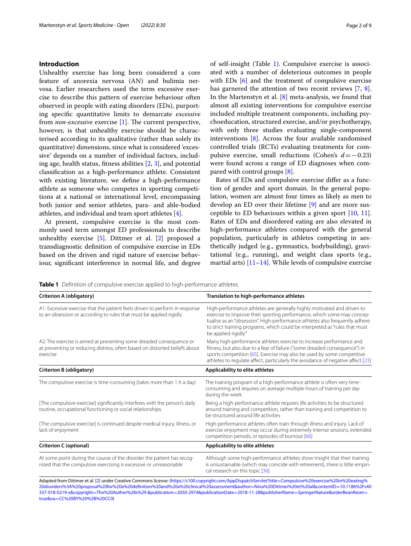## **Introduction**

Unhealthy exercise has long been considered a core feature of anorexia nervosa (AN) and bulimia nervosa. Earlier researchers used the term excessive exercise to describe this pattern of exercise behaviour often observed in people with eating disorders (EDs), purporting specifc quantitative limits to demarcate *excessive* from *non-excessive* exercise [\[1](#page-6-0)]. The current perspective, however, is that unhealthy exercise should be characterised according to its qualitative (rather than solely its quantitative) dimensions, since what is considered 'excessive' depends on a number of individual factors, including age, health status, ftness abilities [[2,](#page-6-1) [3](#page-6-2)], and potential classifcation as a high-performance athlete. Consistent with existing literature, we defne a high-performance athlete as someone who competes in sporting competitions at a national or international level, encompassing both junior and senior athletes, para- and able-bodied athletes, and individual and team sport athletes [[4\]](#page-6-3).

At present, compulsive exercise is the most commonly used term amongst ED professionals to describe unhealthy exercise  $[5]$  $[5]$ . Dittmer et al.  $[2]$  $[2]$  proposed a transdiagnostic defnition of compulsive exercise in EDs based on the driven and rigid nature of exercise behaviour, signifcant interference in normal life, and degree of self-insight (Table [1\)](#page-1-0). Compulsive exercise is associated with a number of deleterious outcomes in people with EDs [[6\]](#page-6-5) and the treatment of compulsive exercise has garnered the attention of two recent reviews [\[7](#page-6-6), [8](#page-6-7)]. In the Martenstyn et al. [[8\]](#page-6-7) meta-analysis, we found that almost all existing interventions for compulsive exercise included multiple treatment components, including psychoeducation, structured exercise, and/or psychotherapy, with only three studies evaluating single-component interventions [\[8](#page-6-7)]. Across the four available randomised controlled trials (RCTs) evaluating treatments for compulsive exercise, small reductions (Cohen's *d*=−0.23) were found across a range of ED diagnoses when compared with control groups [\[8](#page-6-7)].

Rates of EDs and compulsive exercise difer as a function of gender and sport domain. In the general population, women are almost four times as likely as men to develop an ED over their lifetime [\[9\]](#page-6-8) and are more susceptible to ED behaviours within a given sport  $[10, 11]$  $[10, 11]$  $[10, 11]$  $[10, 11]$  $[10, 11]$ . Rates of EDs and disordered eating are also elevated in high-performance athletes compared with the general population, particularly in athletes competing in aesthetically judged (e.g., gymnastics, bodybuilding), gravitational (e.g., running), and weight class sports (e.g., martial arts)  $[11–14]$  $[11–14]$  $[11–14]$ . While levels of compulsive exercise

<span id="page-1-0"></span>

| <b>Table 1</b> Definition of compulsive exercise applied to high-performance athletes |  |  |  |
|---------------------------------------------------------------------------------------|--|--|--|
|---------------------------------------------------------------------------------------|--|--|--|

| Criterion A (obligatory)                                                                                                                                      | Translation to high-performance athletes                                                                                                                                                                                                                                                                                               |  |
|---------------------------------------------------------------------------------------------------------------------------------------------------------------|----------------------------------------------------------------------------------------------------------------------------------------------------------------------------------------------------------------------------------------------------------------------------------------------------------------------------------------|--|
| A1: Excessive exercise that the patient feels driven to perform in response<br>to an obsession or according to rules that must be applied rigidly             | High-performance athletes are generally highly motivated and driven to<br>exercise to improve their sporting performance, which some may concep-<br>tualise as an "obsession". High-performance athletes also frequently adhere<br>to strict training programs, which could be interpreted as "rules that must"<br>be applied rigidly" |  |
| A2: The exercise is aimed at preventing some dreaded consequence or<br>at preventing or reducing distress, often based on distorted beliefs about<br>exercise | Many high-performance athletes exercise to increase performance and<br>fitness, but also due to a fear of failure ("some dreaded consequence") in<br>sports competition [65]. Exercise may also be used by some competitive<br>athletes to regulate affect, particularly the avoidance of negative affect [23]                         |  |
| Criterion B (obligatory)                                                                                                                                      | Applicability to elite athletes                                                                                                                                                                                                                                                                                                        |  |
| The compulsive exercise is time-consuming (takes more than 1 h a day)                                                                                         | The training program of a high-performance athlete is often very time-<br>consuming and requires on average multiple hours of training per day<br>during the week                                                                                                                                                                      |  |
| [The compulsive exercise] significantly interferes with the person's daily<br>routine, occupational functioning or social relationships                       | Being a high-performance athlete requires life activities to be structured<br>around training and competition, rather than training and competition to<br>be structured around life activities                                                                                                                                         |  |
| [The compulsive exercise] is continued despite medical injury, illness, or<br>lack of enjoyment                                                               | High-performance athletes often train through illness and injury. Lack of<br>exercise enjoyment may occur during extremely intense sessions, extended<br>competition periods, or episodes of burnout [66]                                                                                                                              |  |
| <b>Criterion C (optional)</b>                                                                                                                                 | Applicability to elite athletes                                                                                                                                                                                                                                                                                                        |  |
| At some point during the course of the disorder the patient has recog-<br>nized that the compulsive exercising is excessive or unreasonable                   | Although some high-performance athletes show insight that their training<br>is unsustainable (which may coincide with retirement), there is little empiri-<br>cal research on this topic [36]                                                                                                                                          |  |

Adapted from Dittmer et al. [\[2\]](#page-6-1) under Creative Commons license: ([https://s100.copyright.com/AppDispatchServlet?title](https://s100.copyright.com/AppDispatchServlet?title=Compulsive%20exercise%20in%20eating%20disorders%3A%20proposal%20for%20a%20definition%20and%20a%20clinical%20assessment&author=Nina%20Dittmer%20et%20al&contentID=10.1186%2Fs40337-018-0219-x©right=The%20Author%28s%29.&publication=2050-2974&publicationDate=2018-11-28&publisherName=SpringerNature&orderBeanReset=true&oa=CC%20BY%20%2B%20CC0)=Compulsive%20exercise%20in%20eating% [20disorders%3A%20proposal%20for%20a%20defnition%20and%20a%20clinical%20assessment&author](https://s100.copyright.com/AppDispatchServlet?title=Compulsive%20exercise%20in%20eating%20disorders%3A%20proposal%20for%20a%20definition%20and%20a%20clinical%20assessment&author=Nina%20Dittmer%20et%20al&contentID=10.1186%2Fs40337-018-0219-x©right=The%20Author%28s%29.&publication=2050-2974&publicationDate=2018-11-28&publisherName=SpringerNature&orderBeanReset=true&oa=CC%20BY%20%2B%20CC0)=Nina%20Dittmer%20et%20al&contentID=10.1186%2Fs40 337-018-0219-x&copyright=[The%20Author%28s%29.&publication](https://s100.copyright.com/AppDispatchServlet?title=Compulsive%20exercise%20in%20eating%20disorders%3A%20proposal%20for%20a%20definition%20and%20a%20clinical%20assessment&author=Nina%20Dittmer%20et%20al&contentID=10.1186%2Fs40337-018-0219-x©right=The%20Author%28s%29.&publication=2050-2974&publicationDate=2018-11-28&publisherName=SpringerNature&orderBeanReset=true&oa=CC%20BY%20%2B%20CC0)=2050-2974&publicationDate=2018-11-28&publisherName=SpringerNature&orderBeanReset= true&oa=[CC%20BY%20%2B%20CC0\)](https://s100.copyright.com/AppDispatchServlet?title=Compulsive%20exercise%20in%20eating%20disorders%3A%20proposal%20for%20a%20definition%20and%20a%20clinical%20assessment&author=Nina%20Dittmer%20et%20al&contentID=10.1186%2Fs40337-018-0219-x©right=The%20Author%28s%29.&publication=2050-2974&publicationDate=2018-11-28&publisherName=SpringerNature&orderBeanReset=true&oa=CC%20BY%20%2B%20CC0)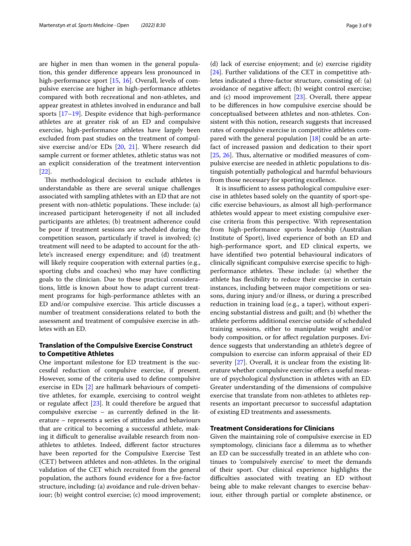are higher in men than women in the general population, this gender diference appears less pronounced in high-performance sport [\[15](#page-6-12), [16\]](#page-6-13). Overall, levels of compulsive exercise are higher in high-performance athletes compared with both recreational and non-athletes, and appear greatest in athletes involved in endurance and ball sports [[17](#page-7-2)[–19](#page-7-3)]. Despite evidence that high-performance athletes are at greater risk of an ED and compulsive exercise, high-performance athletes have largely been excluded from past studies on the treatment of compulsive exercise and/or EDs [[20,](#page-7-4) [21](#page-7-5)]. Where research did sample current or former athletes, athletic status was not an explicit consideration of the treatment intervention [[22\]](#page-7-6).

This methodological decision to exclude athletes is understandable as there are several unique challenges associated with sampling athletes with an ED that are not present with non-athletic populations. These include: (a) increased participant heterogeneity if not all included participants are athletes; (b) treatment adherence could be poor if treatment sessions are scheduled during the competition season, particularly if travel is involved; (c) treatment will need to be adapted to account for the athlete's increased energy expenditure; and (d) treatment will likely require cooperation with external parties (e.g., sporting clubs and coaches) who may have conficting goals to the clinician. Due to these practical considerations, little is known about how to adapt current treatment programs for high-performance athletes with an ED and/or compulsive exercise. This article discusses a number of treatment considerations related to both the assessment and treatment of compulsive exercise in athletes with an ED.

## **Translation of the Compulsive Exercise Construct to Competitive Athletes**

One important milestone for ED treatment is the successful reduction of compulsive exercise, if present. However, some of the criteria used to defne compulsive exercise in EDs [\[2](#page-6-1)] are hallmark behaviours of competitive athletes, for example, exercising to control weight or regulate afect [\[23](#page-7-0)]. It could therefore be argued that compulsive exercise – as currently defned in the literature – represents a series of attitudes and behaviours that are critical to becoming a successful athlete, making it difficult to generalise available research from nonathletes to athletes. Indeed, diferent factor structures have been reported for the Compulsive Exercise Test (CET) between athletes and non-athletes. In the original validation of the CET which recruited from the general population, the authors found evidence for a fve-factor structure, including: (a) avoidance and rule-driven behaviour; (b) weight control exercise; (c) mood improvement;

(d) lack of exercise enjoyment; and (e) exercise rigidity [[24\]](#page-7-7). Further validations of the CET in competitive athletes indicated a three-factor structure, consisting of: (a) avoidance of negative afect; (b) weight control exercise; and (c) mood improvement [\[23](#page-7-0)]. Overall, there appear to be diferences in how compulsive exercise should be conceptualised between athletes and non-athletes. Consistent with this notion, research suggests that increased rates of compulsive exercise in competitive athletes compared with the general population [[18\]](#page-7-8) could be an artefact of increased passion and dedication to their sport [[25,](#page-7-9) [26\]](#page-7-10). Thus, alternative or modified measures of compulsive exercise are needed in athletic populations to distinguish potentially pathological and harmful behaviours from those necessary for sporting excellence.

It is insufficient to assess pathological compulsive exercise in athletes based solely on the quantity of sport-specifc exercise behaviours, as almost all high-performance athletes would appear to meet existing compulsive exercise criteria from this perspective. With representation from high-performance sports leadership (Australian Institute of Sport), lived experience of both an ED and high-performance sport, and ED clinical experts, we have identifed two potential behavioural indicators of clinically signifcant compulsive exercise specifc to highperformance athletes. These include: (a) whether the athlete has fexibility to reduce their exercise in certain instances, including between major competitions or seasons, during injury and/or illness, or during a prescribed reduction in training load (e.g., a taper), without experiencing substantial distress and guilt; and (b) whether the athlete performs additional exercise outside of scheduled training sessions, either to manipulate weight and/or body composition, or for afect regulation purposes. Evidence suggests that understanding an athlete's degree of compulsion to exercise can inform appraisal of their ED severity [\[27\]](#page-7-11). Overall, it is unclear from the existing literature whether compulsive exercise offers a useful measure of psychological dysfunction in athletes with an ED. Greater understanding of the dimensions of compulsive exercise that translate from non-athletes to athletes represents an important precursor to successful adaptation of existing ED treatments and assessments.

## **Treatment Considerations for Clinicians**

Given the maintaining role of compulsive exercise in ED symptomology, clinicians face a dilemma as to whether an ED can be successfully treated in an athlete who continues to 'compulsively exercise' to meet the demands of their sport. Our clinical experience highlights the difficulties associated with treating an ED without being able to make relevant changes to exercise behaviour, either through partial or complete abstinence, or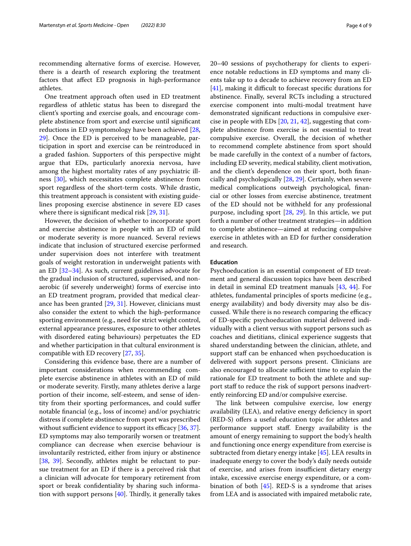recommending alternative forms of exercise. However, there is a dearth of research exploring the treatment factors that afect ED prognosis in high-performance athletes.

One treatment approach often used in ED treatment regardless of athletic status has been to disregard the client's sporting and exercise goals, and encourage complete abstinence from sport and exercise until signifcant reductions in ED symptomology have been achieved [\[28](#page-7-12), [29\]](#page-7-13). Once the ED is perceived to be manageable, participation in sport and exercise can be reintroduced in a graded fashion. Supporters of this perspective might argue that EDs, particularly anorexia nervosa, have among the highest mortality rates of any psychiatric illness [\[30](#page-7-14)], which necessitates complete abstinence from sport regardless of the short-term costs. While drastic, this treatment approach is consistent with existing guidelines proposing exercise abstinence in severe ED cases where there is significant medical risk [\[29,](#page-7-13) [31](#page-7-15)].

However, the decision of whether to incorporate sport and exercise abstinence in people with an ED of mild or moderate severity is more nuanced. Several reviews indicate that inclusion of structured exercise performed under supervision does not interfere with treatment goals of weight restoration in underweight patients with an ED [[32–](#page-7-16)[34\]](#page-7-17). As such, current guidelines advocate for the gradual inclusion of structured, supervised, and nonaerobic (if severely underweight) forms of exercise into an ED treatment program, provided that medical clearance has been granted [[29](#page-7-13), [31](#page-7-15)]. However, clinicians must also consider the extent to which the high-performance sporting environment (e.g., need for strict weight control, external appearance pressures, exposure to other athletes with disordered eating behaviours) perpetuates the ED and whether participation in that cultural environment is compatible with ED recovery [[27,](#page-7-11) [35](#page-7-18)].

Considering this evidence base, there are a number of important considerations when recommending complete exercise abstinence in athletes with an ED of mild or moderate severity. Firstly, many athletes derive a large portion of their income, self-esteem, and sense of identity from their sporting performances, and could sufer notable fnancial (e.g., loss of income) and/or psychiatric distress if complete abstinence from sport was prescribed without sufficient evidence to support its efficacy  $[36, 37]$  $[36, 37]$  $[36, 37]$ . ED symptoms may also temporarily worsen or treatment compliance can decrease when exercise behaviour is involuntarily restricted, either from injury or abstinence [[38,](#page-7-20) [39](#page-7-21)]. Secondly, athletes might be reluctant to pursue treatment for an ED if there is a perceived risk that a clinician will advocate for temporary retirement from sport or break confdentiality by sharing such information with support persons  $[40]$  $[40]$ . Thirdly, it generally takes 20–40 sessions of psychotherapy for clients to experience notable reductions in ED symptoms and many clients take up to a decade to achieve recovery from an ED  $[41]$  $[41]$ , making it difficult to forecast specific durations for abstinence. Finally, several RCTs including a structured exercise component into multi-modal treatment have demonstrated signifcant reductions in compulsive exercise in people with EDs [\[20](#page-7-4), [21,](#page-7-5) [42](#page-7-24)], suggesting that complete abstinence from exercise is not essential to treat compulsive exercise. Overall, the decision of whether to recommend complete abstinence from sport should be made carefully in the context of a number of factors, including ED severity, medical stability, client motivation, and the client's dependence on their sport, both fnancially and psychologically [[28,](#page-7-12) [29](#page-7-13)]. Certainly, when severe medical complications outweigh psychological, fnancial or other losses from exercise abstinence, treatment of the ED should not be withheld for any professional purpose, including sport [[28,](#page-7-12) [29](#page-7-13)]. In this article, we put forth a number of other treatment strategies—in addition to complete abstinence—aimed at reducing compulsive exercise in athletes with an ED for further consideration and research.

## **Education**

Psychoeducation is an essential component of ED treatment and general discussion topics have been described in detail in seminal ED treatment manuals [\[43](#page-7-25), [44\]](#page-7-26). For athletes, fundamental principles of sports medicine (e.g., energy availability) and body diversity may also be discussed. While there is no research comparing the efficacy of ED-specifc psychoeducation material delivered individually with a client versus with support persons such as coaches and dietitians, clinical experience suggests that shared understanding between the clinician, athlete, and support staff can be enhanced when psychoeducation is delivered with support persons present. Clinicians are also encouraged to allocate sufficient time to explain the rationale for ED treatment to both the athlete and support staff to reduce the risk of support persons inadvertently reinforcing ED and/or compulsive exercise.

The link between compulsive exercise, low energy availability (LEA), and relative energy defciency in sport (RED-S) ofers a useful education topic for athletes and performance support staf. Energy availability is the amount of energy remaining to support the body's health and functioning once energy expenditure from exercise is subtracted from dietary energy intake [\[45](#page-7-27)]. LEA results in inadequate energy to cover the body's daily needs outside of exercise, and arises from insufficient dietary energy intake, excessive exercise energy expenditure, or a combination of both [\[45\]](#page-7-27). RED-S is a syndrome that arises from LEA and is associated with impaired metabolic rate,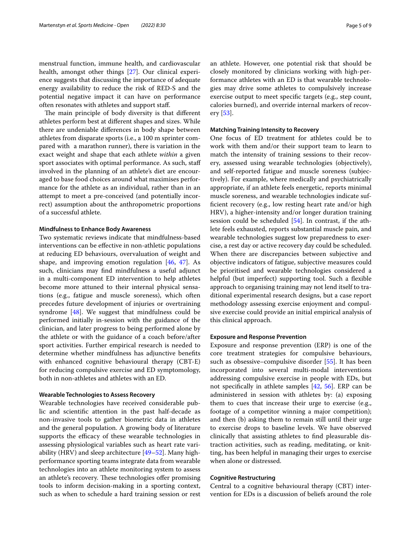menstrual function, immune health, and cardiovascular health, amongst other things [\[27](#page-7-11)]. Our clinical experience suggests that discussing the importance of adequate energy availability to reduce the risk of RED-S and the potential negative impact it can have on performance often resonates with athletes and support staf.

The main principle of body diversity is that different athletes perform best at diferent shapes and sizes. While there are undeniable diferences in body shape between athletes from disparate sports (i.e., a 100 m sprinter compared with a marathon runner), there is variation in the exact weight and shape that each athlete *within* a given sport associates with optimal performance. As such, staff involved in the planning of an athlete's diet are encouraged to base food choices around what maximises performance for the athlete as an individual, rather than in an attempt to meet a pre-conceived (and potentially incorrect) assumption about the anthropometric proportions of a successful athlete.

## **Mindfulness to Enhance Body Awareness**

Two systematic reviews indicate that mindfulness-based interventions can be efective in non-athletic populations at reducing ED behaviours, overvaluation of weight and shape, and improving emotion regulation [[46,](#page-7-28) [47\]](#page-7-29). As such, clinicians may fnd mindfulness a useful adjunct in a multi-component ED intervention to help athletes become more attuned to their internal physical sensations (e.g., fatigue and muscle soreness), which often precedes future development of injuries or overtraining syndrome [\[48](#page-7-30)]. We suggest that mindfulness could be performed initially in-session with the guidance of the clinician, and later progress to being performed alone by the athlete or with the guidance of a coach before/after sport activities. Further empirical research is needed to determine whether mindfulness has adjunctive benefts with enhanced cognitive behavioural therapy (CBT-E) for reducing compulsive exercise and ED symptomology, both in non-athletes and athletes with an ED.

## **Wearable Technologies to Assess Recovery**

Wearable technologies have received considerable public and scientifc attention in the past half-decade as non-invasive tools to gather biometric data in athletes and the general population. A growing body of literature supports the efficacy of these wearable technologies in assessing physiological variables such as heart rate variability (HRV) and sleep architecture [\[49](#page-7-31)[–52](#page-7-32)]. Many highperformance sporting teams integrate data from wearable technologies into an athlete monitoring system to assess an athlete's recovery. These technologies offer promising tools to inform decision-making in a sporting context, such as when to schedule a hard training session or rest an athlete. However, one potential risk that should be closely monitored by clinicians working with high-performance athletes with an ED is that wearable technologies may drive some athletes to compulsively increase exercise output to meet specifc targets (e.g., step count, calories burned), and override internal markers of recovery [\[53](#page-7-33)].

#### **Matching Training Intensity to Recovery**

One focus of ED treatment for athletes could be to work with them and/or their support team to learn to match the intensity of training sessions to their recovery, assessed using wearable technologies (objectively), and self-reported fatigue and muscle soreness (subjectively). For example, where medically and psychiatrically appropriate, if an athlete feels energetic, reports minimal muscle soreness, and wearable technologies indicate suffcient recovery (e.g., low resting heart rate and/or high HRV), a higher-intensity and/or longer duration training session could be scheduled [\[54](#page-7-34)]. In contrast, if the athlete feels exhausted, reports substantial muscle pain, and wearable technologies suggest low preparedness to exercise, a rest day or active recovery day could be scheduled. When there are discrepancies between subjective and objective indicators of fatigue, subjective measures could be prioritised and wearable technologies considered a helpful (but imperfect) supporting tool. Such a flexible approach to organising training may not lend itself to traditional experimental research designs, but a case report methodology assessing exercise enjoyment and compulsive exercise could provide an initial empirical analysis of this clinical approach.

## **Exposure and Response Prevention**

Exposure and response prevention (ERP) is one of the core treatment strategies for compulsive behaviours, such as obsessive–compulsive disorder [\[55](#page-7-35)]. It has been incorporated into several multi-modal interventions addressing compulsive exercise in people with EDs, but not specifcally in athlete samples [\[42](#page-7-24), [56](#page-7-36)]. ERP can be administered in session with athletes by: (a) exposing them to cues that increase their urge to exercise (e.g., footage of a competitor winning a major competition); and then (b) asking them to remain still until their urge to exercise drops to baseline levels. We have observed clinically that assisting athletes to fnd pleasurable distraction activities, such as reading, meditating, or knitting, has been helpful in managing their urges to exercise when alone or distressed.

## **Cognitive Restructuring**

Central to a cognitive behavioural therapy (CBT) intervention for EDs is a discussion of beliefs around the role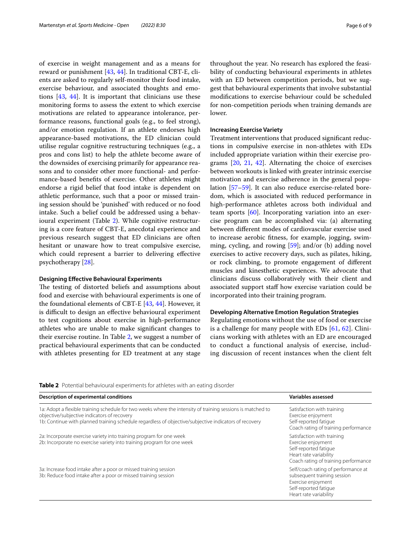of exercise in weight management and as a means for reward or punishment [[43,](#page-7-25) [44](#page-7-26)]. In traditional CBT-E, clients are asked to regularly self-monitor their food intake, exercise behaviour, and associated thoughts and emotions [\[43](#page-7-25), [44\]](#page-7-26). It is important that clinicians use these monitoring forms to assess the extent to which exercise motivations are related to appearance intolerance, performance reasons, functional goals (e.g., to feel strong), and/or emotion regulation. If an athlete endorses high appearance-based motivations, the ED clinician could utilise regular cognitive restructuring techniques (e.g., a pros and cons list) to help the athlete become aware of the downsides of exercising primarily for appearance reasons and to consider other more functional- and performance-based benefts of exercise. Other athletes might endorse a rigid belief that food intake is dependent on athletic performance, such that a poor or missed training session should be 'punished' with reduced or no food intake. Such a belief could be addressed using a behavioural experiment (Table [2\)](#page-5-0). While cognitive restructuring is a core feature of CBT-E, anecdotal experience and previous research suggest that ED clinicians are often hesitant or unaware how to treat compulsive exercise, which could represent a barrier to delivering efective psychotherapy [[28\]](#page-7-12).

## **Designing Efective Behavioural Experiments**

The testing of distorted beliefs and assumptions about food and exercise with behavioural experiments is one of the foundational elements of CBT-E [[43,](#page-7-25) [44](#page-7-26)]. However, it is difficult to design an effective behavioural experiment to test cognitions about exercise in high-performance athletes who are unable to make signifcant changes to their exercise routine. In Table [2](#page-5-0), we suggest a number of practical behavioural experiments that can be conducted with athletes presenting for ED treatment at any stage throughout the year. No research has explored the feasibility of conducting behavioural experiments in athletes with an ED between competition periods, but we suggest that behavioural experiments that involve substantial modifcations to exercise behaviour could be scheduled for non-competition periods when training demands are lower.

#### **Increasing Exercise Variety**

Treatment interventions that produced signifcant reductions in compulsive exercise in non-athletes with EDs included appropriate variation within their exercise programs [\[20](#page-7-4), [21,](#page-7-5) [42](#page-7-24)]. Alternating the choice of exercises between workouts is linked with greater intrinsic exercise motivation and exercise adherence in the general population [[57–](#page-7-37)[59\]](#page-7-38). It can also reduce exercise-related boredom, which is associated with reduced performance in high-performance athletes across both individual and team sports [\[60](#page-7-39)]. Incorporating variation into an exercise program can be accomplished via: (a) alternating between diferent modes of cardiovascular exercise used to increase aerobic ftness, for example, jogging, swimming, cycling, and rowing [\[59](#page-7-38)]; and/or (b) adding novel exercises to active recovery days, such as pilates, hiking, or rock climbing, to promote engagement of diferent muscles and kinesthetic experiences. We advocate that clinicians discuss collaboratively with their client and associated support staff how exercise variation could be incorporated into their training program.

## **Developing Alternative Emotion Regulation Strategies**

Regulating emotions without the use of food or exercise is a challenge for many people with EDs [\[61,](#page-8-2) [62\]](#page-8-3). Clinicians working with athletes with an ED are encouraged to conduct a functional analysis of exercise, including discussion of recent instances when the client felt

<span id="page-5-0"></span>**Table 2** Potential behavioural experiments for athletes with an eating disorder

| <b>Description of experimental conditions</b>                                                                                                                                                                                                                       | Variables assessed                                                                                                                          |
|---------------------------------------------------------------------------------------------------------------------------------------------------------------------------------------------------------------------------------------------------------------------|---------------------------------------------------------------------------------------------------------------------------------------------|
| 1a: Adopt a flexible training schedule for two weeks where the intensity of training sessions is matched to<br>objective/subjective indicators of recovery<br>1b: Continue with planned training schedule regardless of objective/subjective indicators of recovery | Satisfaction with training<br>Exercise enjoyment<br>Self-reported fatique<br>Coach rating of training performance                           |
| 2a: Incorporate exercise variety into training program for one week<br>2b: Incorporate no exercise variety into training program for one week                                                                                                                       | Satisfaction with training<br>Exercise enjoyment<br>Self-reported fatique<br>Heart rate variability<br>Coach rating of training performance |
| 3a: Increase food intake after a poor or missed training session<br>3b: Reduce food intake after a poor or missed training session                                                                                                                                  | Self/coach rating of performance at<br>subsequent training session<br>Exercise enjoyment<br>Self-reported fatique<br>Heart rate variability |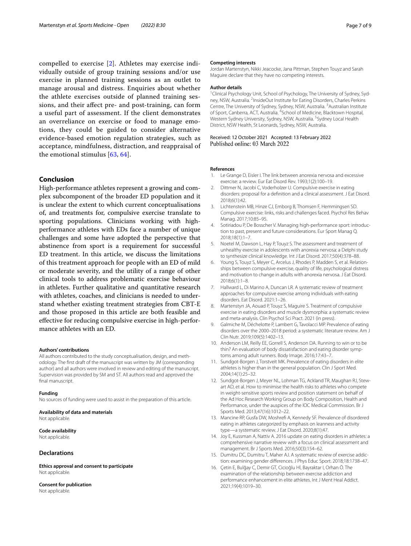compelled to exercise [[2\]](#page-6-1). Athletes may exercise individually outside of group training sessions and/or use exercise in planned training sessions as an outlet to manage arousal and distress. Enquiries about whether the athlete exercises outside of planned training sessions, and their afect pre- and post-training, can form a useful part of assessment. If the client demonstrates an overreliance on exercise or food to manage emotions, they could be guided to consider alternative evidence-based emotion regulation strategies, such as acceptance, mindfulness, distraction, and reappraisal of the emotional stimulus [\[63](#page-8-4), [64](#page-8-5)].

## **Conclusion**

High-performance athletes represent a growing and complex subcomponent of the broader ED population and it is unclear the extent to which current conceptualisations of, and treatments for, compulsive exercise translate to sporting populations. Clinicians working with highperformance athletes with EDs face a number of unique challenges and some have adopted the perspective that abstinence from sport is a requirement for successful ED treatment. In this article, we discuss the limitations of this treatment approach for people with an ED of mild or moderate severity, and the utility of a range of other clinical tools to address problematic exercise behaviour in athletes. Further qualitative and quantitative research with athletes, coaches, and clinicians is needed to understand whether existing treatment strategies from CBT-E and those proposed in this article are both feasible and efective for reducing compulsive exercise in high-performance athletes with an ED.

#### **Authors' contributions**

All authors contributed to the study conceptualisation, design, and methodology. The frst draft of the manuscript was written by JM (corresponding author) and all authors were involved in review and editing of the manuscript. Supervision was provided by SM and ST. All authors read and approved the final manuscript.

#### **Funding**

No sources of funding were used to assist in the preparation of this article.

#### **Availability of data and materials** Not applicable.

## **Code availability**

Not applicable.

## **Declarations**

**Ethics approval and consent to participate** Not applicable.

**Consent for publication** Not applicable.

#### **Competing interests**

Jordan Martenstyn, Nikki Jeacocke, Jana Pittman, Stephen Touyz and Sarah Maguire declare that they have no competing interests.

#### **Author details**

<sup>1</sup> Clinical Psychology Unit, School of Psychology, The University of Sydney, Sydney, NSW, Australia. <sup>2</sup>InsideOut Institute for Eating Disorders, Charles Perkins Centre, The University of Sydney, Sydney, NSW, Australia.<sup>3</sup> Australian Institute of Sport, Canberra, ACT, Australia. <sup>4</sup>School of Medicine, Blacktown Hospital, Western Sydney University, Sydney, NSW, Australia. <sup>5</sup> Sydney Local Health District, NSW Health, St Leonards, Sydney, NSW, Australia.

Received: 12 October 2021 Accepted: 13 February 2022<br>Published online: 03 March 2022

## **References**

- <span id="page-6-0"></span>1. Le Grange D, Eisler I. The link between anorexia nervosa and excessive exercise: a review. Eur Eat Disord Rev. 1993;1(2):100–19.
- <span id="page-6-1"></span>2. Dittmer N, Jacobi C, Voderholzer U. Compulsive exercise in eating disorders: proposal for a defnition and a clinical assessment. J Eat Disord. 2018;6(1):42.
- <span id="page-6-2"></span>3. Lichtenstein MB, Hinze CJ, Emborg B, Thomsen F, Hemmingsen SD. Compulsive exercise: links, risks and challenges faced. Psychol Res Behav Manag. 2017;10:85–95.
- <span id="page-6-3"></span>4. Sotiriadou P, De Bosscher V. Managing high-performance sport: introduction to past, present and future considerations. Eur Sport Manag Q. 2018;18(1):1–7.
- <span id="page-6-4"></span>5. Noetel M, Dawson L, Hay P, Touyz S. The assessment and treatment of unhealthy exercise in adolescents with anorexia nervosa: a Delphi study to synthesize clinical knowledge. Int J Eat Disord. 2017;50(4):378–88.
- <span id="page-6-5"></span>6. Young S, Touyz S, Meyer C, Arcelus J, Rhodes P, Madden S, et al. Relationships between compulsive exercise, quality of life, psychological distress and motivation to change in adults with anorexia nervosa. J Eat Disord. 2018;6(1):1–8.
- <span id="page-6-6"></span>7. Hallward L, Di Marino A, Duncan LR. A systematic review of treatment approaches for compulsive exercise among individuals with eating disorders. Eat Disord. 2021:1–26.
- <span id="page-6-7"></span>8. Martenstyn JA, Aouad P, Touyz S, Maguire S. Treatment of compulsive exercise in eating disorders and muscle dysmorphia: a systematic review and meta-analysis. Clin Psychol Sci Pract. 2021 (in press).
- <span id="page-6-8"></span>9. Galmiche M, Déchelotte P, Lambert G, Tavolacci MP. Prevalence of eating disorders over the 2000–2018 period: a systematic literature review. Am J Clin Nutr. 2019;109(5):1402–13.
- <span id="page-6-9"></span>10. Anderson LM, Reilly EE, Gorrell S, Anderson DA. Running to win or to be thin? An evaluation of body dissatisfaction and eating disorder symptoms among adult runners. Body Image. 2016;17:43–7.
- <span id="page-6-10"></span>11. Sundgot-Borgen J, Torstveit MK. Prevalence of eating disorders in elite athletes is higher than in the general population. Clin J Sport Med. 2004;14(1):25–32.
- 12. Sundgot-Borgen J, Meyer NL, Lohman TG, Ackland TR, Maughan RJ, Stewart AD, et al. How to minimise the health risks to athletes who compete in weight-sensitive sports review and position statement on behalf of the Ad Hoc Research Working Group on Body Composition, Health and Performance, under the auspices of the IOC Medical Commission. Br J Sports Med. 2013;47(16):1012–22.
- 13. Mancine RP, Gusfa DW, Moshref A, Kennedy SF. Prevalence of disordered eating in athletes categorized by emphasis on leanness and activity type—a systematic review. J Eat Disord. 2020;8(1):47.
- <span id="page-6-11"></span>14. Joy E, Kussman A, Nattiv A. 2016 update on eating disorders in athletes: a comprehensive narrative review with a focus on clinical assessment and management. Br J Sports Med. 2016;50(3):154–62.
- <span id="page-6-12"></span>15. Dumitru DC, Dumitru T, Maher AJ. A systematic review of exercise addiction: examining gender diferences. J Phys Educ Sport. 2018;18:1738–47.
- <span id="page-6-13"></span>16. Çetin E, Bulğay C, Demir GT, Cicioğlu Hİ, Bayraktar I, Orhan Ö. The examination of the relationship between exercise addiction and performance enhancement in elite athletes. Int J Ment Heal Addict. 2021;19(4):1019–30.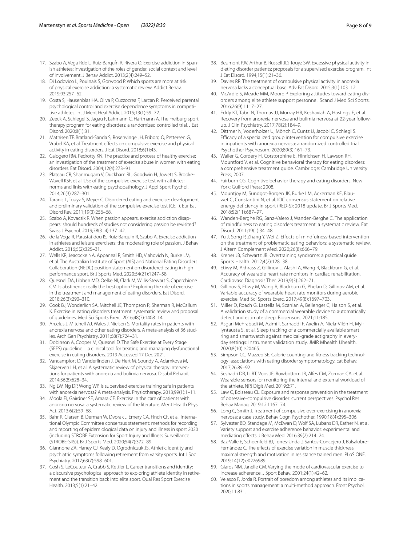- <span id="page-7-2"></span>17. Szabo A, Vega Rde L, Ruiz-BarquÍn R, Rivera O. Exercise addiction in Spanish athletes: investigation of the roles of gender, social context and level of involvement. J Behav Addict. 2013;2(4):249–52.
- <span id="page-7-8"></span>18. Di Lodovico L, Poulnais S, Gorwood P. Which sports are more at risk of physical exercise addiction: a systematic review. Addict Behav. 2019;93:257–62.
- <span id="page-7-3"></span>19. Costa S, Hausenblas HA, Oliva P, Cuzzocrea F, Larcan R. Perceived parental psychological control and exercise dependence symptoms in competitive athletes. Int J Ment Heal Addict. 2015;13(1):59–72.
- <span id="page-7-4"></span>20. Zeeck A, Schlegel S, Jagau F, Lahmann C, Hartmann A. The Freiburg sport therapy program for eating disorders: a randomized controlled trial. J Eat Disord. 2020;8(1):31.
- <span id="page-7-5"></span>21. Mathisen TF, Bratland-Sanda S, Rosenvinge JH, Friborg O, Pettersen G, Vrabel KA, et al. Treatment efects on compulsive exercise and physical activity in eating disorders. J Eat Disord. 2018;6(1):43.
- <span id="page-7-6"></span>22. Calogero RM, Pedrotty KN. The practice and process of healthy exercise: an investigation of the treatment of exercise abuse in women with eating disorders. Eat Disord. 2004;12(4):273–91.
- <span id="page-7-0"></span>23. Plateau CR, Shanmugam V, Duckham RL, Goodwin H, Jowett S, Brooke-Wavell KSF, et al. Use of the compulsive exercise test with athletes: norms and links with eating psychopathology. J Appl Sport Psychol. 2014;26(3):287–301.
- <span id="page-7-7"></span>24. Taranis L, Touyz S, Meyer C. Disordered eating and exercise: development and preliminary validation of the compulsive exercise test (CET). Eur Eat Disord Rev. 2011;19(3):256–68.
- <span id="page-7-9"></span>25. Szabo A, Kovacsik R. When passion appears, exercise addiction disappears: should hundreds of studies not considering passion be revisited? Swiss J Psychol. 2019;78(3–4):137–42.
- <span id="page-7-10"></span>26. de la Vega R, Parastatidou IS, Ruíz-Barquín R, Szabo A. Exercise addiction in athletes and leisure exercisers: the moderating role of passion. J Behav Addict. 2016;5(2):325–31.
- <span id="page-7-11"></span>27. Wells KR, Jeacocke NA, Appaneal R, Smith HD, Vlahovich N, Burke LM, et al. The Australian Institute of Sport (AIS) and National Eating Disorders Collaboration (NEDC) position statement on disordered eating in high performance sport. Br J Sports Med. 2020;54(21):1247–58.
- <span id="page-7-12"></span>28. Quesnel DA, Libben MD, Oelke NI, Clark M, Willis-Stewart S, Caperchione CM. Is abstinence really the best option? Exploring the role of exercise in the treatment and management of eating disorders. Eat Disord. 2018;26(3):290–310.
- <span id="page-7-13"></span>29. Cook BJ, Wonderlich SA, Mitchell JE, Thompson R, Sherman R, McCallum K. Exercise in eating disorders treatment: systematic review and proposal of guidelines. Med Sci Sports Exerc. 2016;48(7):1408–14.
- <span id="page-7-14"></span>30. Arcelus J, Mitchell AJ, Wales J, Nielsen S. Mortality rates in patients with anorexia nervosa and other eating disorders. A meta-analysis of 36 studies. Arch Gen Psychiatry. 2011;68(7):724–31.
- <span id="page-7-15"></span>31. Dobinson A, Cooper M, Quesnel D. The Safe Exercise at Every Stage (SEES) guideline—a clinical tool for treating and managing dysfunctional exercise in eating disorders. 2019 Accessed 17 Dec 2021.
- <span id="page-7-16"></span>32. Vancampfort D, Vanderlinden J, De Hert M, Soundy A, Adamkova M, Skjaerven LH, et al. A systematic review of physical therapy interventions for patients with anorexia and bulimia nervosa. Disabil Rehabil. 2014;36(8):628–34.
- 33. Ng LW, Ng DP, Wong WP. Is supervised exercise training safe in patients with anorexia nervosa? A meta-analysis. Physiotherapy. 2013;99(1):1–11.
- <span id="page-7-17"></span>34. Moola FJ, Gairdner SE, Amara CE. Exercise in the care of patients with anorexia nervosa: a systematic review of the literature. Ment Health Phys Act. 2013;6(2):59–68.
- <span id="page-7-18"></span>35. Bahr R, Clarsen B, Derman W, Dvorak J, Emery CA, Finch CF, et al. International Olympic Committee consensus statement: methods for recording and reporting of epidemiological data on injury and illness in sport 2020 (including STROBE Extension for Sport Injury and Illness Surveillance (STROBE-SIIS)). Br J Sports Med. 2020;54(7):372–89.
- <span id="page-7-1"></span>36. Giannone ZA, Haney CJ, Kealy D, Ogrodniczuk JS. Athletic identity and psychiatric symptoms following retirement from varsity sports. Int J Soc Psychiatry. 2017;63(7):598–601.
- <span id="page-7-19"></span>37. Cosh S, LeCouteur A, Crabb S, Kettler L. Career transitions and identity: a discursive psychological approach to exploring athlete identity in retirement and the transition back into elite sport. Qual Res Sport Exercise Health. 2013;5(1):21–42.
- <span id="page-7-20"></span>38. Beumont PJV, Arthur B, Russell JD, Touyz SW. Excessive physical activity in dieting disorder patients: proposals for a supervised exercise program. Int J Eat Disord. 1994;15(1):21–36.
- <span id="page-7-21"></span>39. Davies RR. The treatment of compulsive physical activity in anorexia nervosa lacks a conceptual base. Adv Eat Disord. 2015;3(1):103–12.
- <span id="page-7-22"></span>40. McArdle S, Meade MM, Moore P. Exploring attitudes toward eating disorders among elite athlete support personnel. Scand J Med Sci Sports. 2016;26(9):1117–27.
- <span id="page-7-23"></span>41. Eddy KT, Tabri N, Thomas JJ, Murray HB, Keshaviah A, Hastings E, et al. Recovery from anorexia nervosa and bulimia nervosa at 22-year followup. J Clin Psychiatry. 2017;78(2):184–9.
- <span id="page-7-24"></span>42. Dittmer N, Voderholzer U, Mönch C, Cuntz U, Jacobi C, Schlegl S. Efficacy of a specialized group intervention for compulsive exercise in inpatients with anorexia nervosa: a randomized controlled trial. Psychother Psychosom. 2020;89(3):161–73.
- <span id="page-7-25"></span>43. Waller G, Cordery H, Corstorphine E, Hinrichsen H, Lawson RH, Mountford V, et al. Cognitive behavioral therapy for eating disorders: a comprehensive treatment guide. Cambridge: Cambridge University Press; 2007.
- <span id="page-7-26"></span>44. Fairburn CG. Cognitive behavior therapy and eating disorders. New York: Guilford Press; 2008.
- <span id="page-7-27"></span>45. Mountjoy M, Sundgot-Borgen JK, Burke LM, Ackerman KE, Blauwet C, Constantini N, et al. IOC consensus statement on relative energy defciency in sport (RED-S): 2018 update. Br J Sports Med. 2018;52(11):687–97.
- <span id="page-7-28"></span>46. Wanden-Berghe RG, Sanz-Valero J, Wanden-Berghe C. The application of mindfulness to eating disorders treatment: a systematic review. Eat Disord. 2011;19(1):34–48.
- <span id="page-7-29"></span>47. Yu J, Song P, Zhang Y, Wei Z. Efects of mindfulness-based intervention on the treatment of problematic eating behaviors: a systematic review. J Altern Complement Med. 2020;26(8):666–79.
- <span id="page-7-30"></span>48. Kreher JB, Schwartz JB. Overtraining syndrome: a practical guide. Sports Health. 2012;4(2):128–38.
- <span id="page-7-31"></span>49. Etiwy M, Akhrass Z, Gillinov L, Alashi A, Wang R, Blackburn G, et al. Accuracy of wearable heart rate monitors in cardiac rehabilitation. Cardiovasc Diagnosis Ther. 2019;9(3):262–71.
- 50. Gillinov S, Etiwy M, Wang R, Blackburn G, Phelan D, Gillinov AM, et al. Variable accuracy of wearable heart rate monitors during aerobic exercise. Med Sci Sports Exerc. 2017;49(8):1697–703.
- 51. Miller D, Roach G, Lastella M, Scanlan A, Bellenger C, Halson S, et al. A validation study of a commercial wearable device to automatically detect and estimate sleep. Biosensors. 2021;11:185.
- <span id="page-7-32"></span>52. Asgari Mehrabadi M, Azimi I, Sarhaddi F, Axelin A, Niela-Vilén H, Myllyntausta S, et al. Sleep tracking of a commercially available smart ring and smartwatch against medical-grade actigraphy in everyday settings: Instrument validation study. JMIR Mhealth Uhealth. 2020;8(10):e20465.
- <span id="page-7-33"></span>53. Simpson CC, Mazzeo SE. Calorie counting and ftness tracking technology: associations with eating disorder symptomatology. Eat Behav. 2017;26:89–92.
- <span id="page-7-34"></span>54. Seshadri DR, Li RT, Voos JE, Rowbottom JR, Alfes CM, Zorman CA, et al. Wearable sensors for monitoring the internal and external workload of the athlete. NPJ Digit Med. 2019;2:71.
- <span id="page-7-35"></span>55. Law C, Boisseau CL. Exposure and response prevention in the treatment of obsessive-compulsive disorder: current perspectives. Psychol Res Behav Manag. 2019;12:1167–74.
- <span id="page-7-36"></span>56. Long C, Smith J. Treatment of compulsive over-exercising in anorexia nervosa: a case study. Behav Cogn Psychother. 1990;18(4):295–306.
- <span id="page-7-37"></span>57. Sylvester BD, Standage M, McEwan D, Wolf SA, Lubans DR, Eather N, et al. Variety support and exercise adherence behavior: experimental and mediating efects. J Behav Med. 2016;39(2):214–24.
- 58. Baz-Valle E, Schoenfeld BJ, Torres-Unda J, Santos-Concejero J, Balsalobre-Fernández C. The effects of exercise variation in muscle thickness, maximal strength and motivation in resistance trained men. PLoS ONE. 2019;14(12):e0226989.
- <span id="page-7-38"></span>59. Glaros NM, Janelle CM. Varying the mode of cardiovascular exercise to increase adherence. J Sport Behav. 2001;24(1):42–62.
- <span id="page-7-39"></span>60. Velasco F, Jorda R. Portrait of boredom among athletes and its implications in sports management: a multi-method approach. Front Psychol. 2020;11:831.